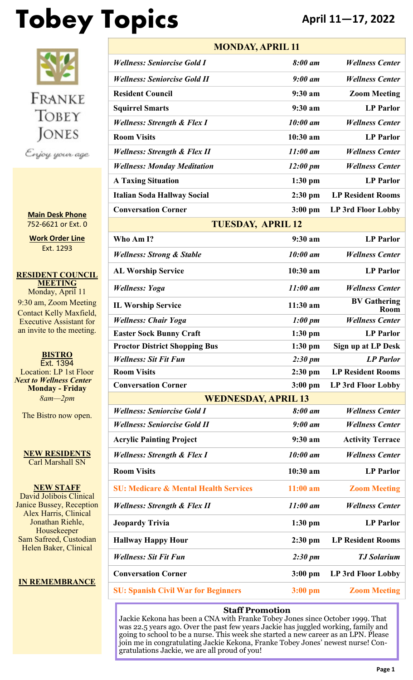# **Tobey Topics April 11—17, 2022**



**Main Desk Phone** 752-6621 or Ext. 0

**Work Order Line** Ext. 1293

**RESIDENT COUNCIL MEETING** Monday, April 11 9:30 am, Zoom Meeting Contact Kelly Maxfield, Executive Assistant for an invite to the meeting.

**BISTRO** Ext. 1394 Location: LP 1st Floor *Next to Wellness Center* **Monday - Friday** *8am—2pm*

The Bistro now open.

**NEW RESIDENTS** Carl Marshall SN

**NEW STAFF** David Jolibois Clinical Janice Bussey, Reception Alex Harris, Clinical Jonathan Riehle, Housekeeper Sam Safreed, Custodian Helen Baker, Clinical

#### **IN REMEMBRANCE**

| <b>MONDAY, APRIL 11</b>                          |                     |                                    |  |  |  |  |  |
|--------------------------------------------------|---------------------|------------------------------------|--|--|--|--|--|
| <b>Wellness: Seniorcise Gold I</b>               | 8:00 am             | <b>Wellness Center</b>             |  |  |  |  |  |
| <b>Wellness: Seniorcise Gold II</b>              | $9:00$ am           | <b>Wellness Center</b>             |  |  |  |  |  |
| <b>Resident Council</b>                          | 9:30 a <sub>m</sub> | <b>Zoom Meeting</b>                |  |  |  |  |  |
| <b>Squirrel Smarts</b>                           | 9:30 a m            | <b>LP</b> Parlor                   |  |  |  |  |  |
| <b>Wellness: Strength &amp; Flex I</b>           | 10:00 am            | <b>Wellness Center</b>             |  |  |  |  |  |
| <b>Room Visits</b>                               | $10:30$ am          | <b>LP</b> Parlor                   |  |  |  |  |  |
| <b>Wellness: Strength &amp; Flex II</b>          | $11:00$ am          | <b>Wellness Center</b>             |  |  |  |  |  |
| <b>Wellness: Monday Meditation</b>               | $12:00 \text{ pm}$  | <b>Wellness Center</b>             |  |  |  |  |  |
| <b>A Taxing Situation</b>                        | $1:30$ pm           | <b>LP</b> Parlor                   |  |  |  |  |  |
| <b>Italian Soda Hallway Social</b>               | $2:30$ pm           | <b>LP Resident Rooms</b>           |  |  |  |  |  |
| <b>Conversation Corner</b>                       | $3:00$ pm           | LP 3rd Floor Lobby                 |  |  |  |  |  |
| <b>TUESDAY, APRIL 12</b>                         |                     |                                    |  |  |  |  |  |
| Who Am I?                                        | 9:30 a <sub>m</sub> | <b>LP</b> Parlor                   |  |  |  |  |  |
| <b>Wellness: Strong &amp; Stable</b>             | 10:00 am            | <b>Wellness Center</b>             |  |  |  |  |  |
| <b>AL Worship Service</b>                        | $10:30$ am          | <b>LP Parlor</b>                   |  |  |  |  |  |
| <b>Wellness: Yoga</b>                            | $11:00$ am          | <b>Wellness Center</b>             |  |  |  |  |  |
| <b>IL Worship Service</b>                        | $11:30$ am          | <b>BV Gathering</b><br><b>Room</b> |  |  |  |  |  |
| <b>Wellness: Chair Yoga</b>                      | $1:00 \text{ pm}$   | <b>Wellness Center</b>             |  |  |  |  |  |
| <b>Easter Sock Bunny Craft</b>                   | $1:30$ pm           | <b>LP Parlor</b>                   |  |  |  |  |  |
| <b>Proctor District Shopping Bus</b>             | $1:30$ pm           | <b>Sign up at LP Desk</b>          |  |  |  |  |  |
| <b>Wellness: Sit Fit Fun</b>                     | $2:30 \text{ pm}$   | <b>LP</b> Parlor                   |  |  |  |  |  |
| <b>Room Visits</b>                               | $2:30$ pm           | <b>LP Resident Rooms</b>           |  |  |  |  |  |
| <b>Conversation Corner</b>                       | $3:00$ pm           | <b>LP 3rd Floor Lobby</b>          |  |  |  |  |  |
| <b>WEDNESDAY, APRIL 13</b>                       |                     |                                    |  |  |  |  |  |
| <b>Wellness: Seniorcise Gold I</b>               | 8:00 am             | <b>Wellness Center</b>             |  |  |  |  |  |
| <b>Wellness: Seniorcise Gold II</b>              | $9:00$ am           | <b>Wellness Center</b>             |  |  |  |  |  |
| <b>Acrylic Painting Project</b>                  | $9:30$ am           | <b>Activity Terrace</b>            |  |  |  |  |  |
| <b>Wellness: Strength &amp; Flex I</b>           | 10:00 am            | <b>Wellness Center</b>             |  |  |  |  |  |
| <b>Room Visits</b>                               | $10:30$ am          | <b>LP</b> Parlor                   |  |  |  |  |  |
| <b>SU: Medicare &amp; Mental Health Services</b> | $11:00$ am          | <b>Zoom Meeting</b>                |  |  |  |  |  |
| <b>Wellness: Strength &amp; Flex II</b>          | $11:00$ am          | <b>Wellness Center</b>             |  |  |  |  |  |
| <b>Jeopardy Trivia</b>                           | $1:30$ pm           | <b>LP</b> Parlor                   |  |  |  |  |  |
| <b>Hallway Happy Hour</b>                        | $2:30$ pm           | <b>LP Resident Rooms</b>           |  |  |  |  |  |
| <b>Wellness: Sit Fit Fun</b>                     | $2:30 \text{ pm}$   | <b>TJ</b> Solarium                 |  |  |  |  |  |
| <b>Conversation Corner</b>                       | $3:00$ pm           | LP 3rd Floor Lobby                 |  |  |  |  |  |
| <b>SU: Spanish Civil War for Beginners</b>       | $3:00$ pm           | <b>Zoom Meeting</b>                |  |  |  |  |  |

#### **Staff Promotion**

Jackie Kekona has been a CNA with Franke Tobey Jones since October 1999. That was 22.5 years ago. Over the past few years Jackie has juggled working, family and going to school to be a nurse. This week she started a new career as an LPN. Please join me in congratulating Jackie Kekona, Franke Tobey Jones' newest nurse! Congratulations Jackie, we are all proud of you!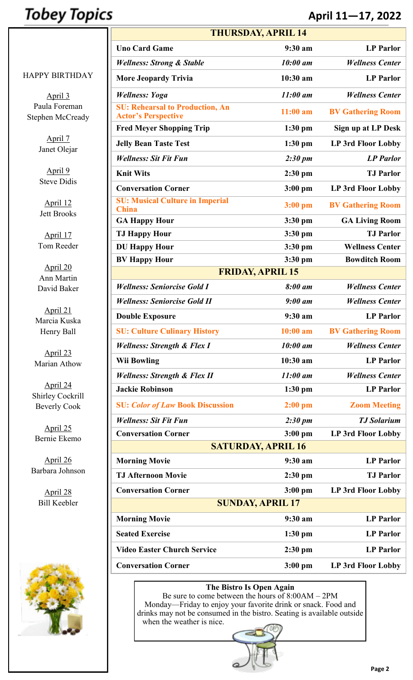### **Tobey Topics**

### **April 11—17, 2022**

April 3 Paula Foreman Stephen McCready

> April 7 Janet Olejar

April 9 Steve Didis

April 12 Jett Brooks

April 17 Tom Reeder

April 20 Ann Martin David Baker

April 21 Marcia Kuska Henry Ball

April 23 Marian Athow

April 24 Shirley Cockrill Beverly Cook

April 25 Bernie Ekemo

April 26 Barbara Johnson

> April 28 Bill Keebler



| <b>THURSDAY, APRIL 14</b>                                            |                     |                           |  |  |  |  |  |  |  |
|----------------------------------------------------------------------|---------------------|---------------------------|--|--|--|--|--|--|--|
| <b>Uno Card Game</b>                                                 | 9:30 a <sub>m</sub> | <b>LP</b> Parlor          |  |  |  |  |  |  |  |
| <b>Wellness: Strong &amp; Stable</b>                                 | 10:00 am            | <b>Wellness Center</b>    |  |  |  |  |  |  |  |
| <b>More Jeopardy Trivia</b>                                          | $10:30$ am          | <b>LP</b> Parlor          |  |  |  |  |  |  |  |
| <b>Wellness: Yoga</b>                                                | $11:00$ am          | <b>Wellness Center</b>    |  |  |  |  |  |  |  |
| <b>SU: Rehearsal to Production, An</b><br><b>Actor's Perspective</b> | $11:00$ am          | <b>BV Gathering Room</b>  |  |  |  |  |  |  |  |
| <b>Fred Meyer Shopping Trip</b>                                      | $1:30$ pm           | Sign up at LP Desk        |  |  |  |  |  |  |  |
| <b>Jelly Bean Taste Test</b>                                         | $1:30$ pm           | LP 3rd Floor Lobby        |  |  |  |  |  |  |  |
| <b>Wellness: Sit Fit Fun</b>                                         | $2:30 \text{ pm}$   | <b>LP</b> Parlor          |  |  |  |  |  |  |  |
| <b>Knit Wits</b>                                                     | $2:30$ pm           | <b>TJ</b> Parlor          |  |  |  |  |  |  |  |
| <b>Conversation Corner</b>                                           | $3:00$ pm           | <b>LP 3rd Floor Lobby</b> |  |  |  |  |  |  |  |
| <b>SU: Musical Culture in Imperial</b><br><b>China</b>               | $3:00$ pm           | <b>BV Gathering Room</b>  |  |  |  |  |  |  |  |
| <b>GA Happy Hour</b>                                                 | $3:30$ pm           | <b>GA Living Room</b>     |  |  |  |  |  |  |  |
| <b>TJ Happy Hour</b>                                                 | $3:30$ pm           | <b>TJ</b> Parlor          |  |  |  |  |  |  |  |
| <b>DU Happy Hour</b>                                                 | $3:30$ pm           | <b>Wellness Center</b>    |  |  |  |  |  |  |  |
| <b>BV Happy Hour</b>                                                 | $3:30$ pm           | <b>Bowditch Room</b>      |  |  |  |  |  |  |  |
| <b>FRIDAY, APRIL 15</b>                                              |                     |                           |  |  |  |  |  |  |  |
| <b>Wellness: Seniorcise Gold I</b>                                   | 8:00 am             | <b>Wellness Center</b>    |  |  |  |  |  |  |  |
| <b>Wellness: Seniorcise Gold II</b>                                  | $9:00$ am           | <b>Wellness Center</b>    |  |  |  |  |  |  |  |
| <b>Double Exposure</b>                                               | 9:30 am             | <b>LP</b> Parlor          |  |  |  |  |  |  |  |
| <b>SU: Culture Culinary History</b>                                  | $10:00$ am          | <b>BV Gathering Room</b>  |  |  |  |  |  |  |  |
| <b>Wellness: Strength &amp; Flex I</b>                               | 10:00 am            | <b>Wellness Center</b>    |  |  |  |  |  |  |  |
| <b>Wii Bowling</b>                                                   | 10:30 am            | <b>LP</b> Parlor          |  |  |  |  |  |  |  |
| <b>Wellness: Strength &amp; Flex II</b>                              | $11:00$ am          | <b>Wellness Center</b>    |  |  |  |  |  |  |  |
| <b>Jackie Robinson</b>                                               | $1:30$ pm           | <b>LP</b> Parlor          |  |  |  |  |  |  |  |
| <b>SU: Color of Law Book Discussion</b>                              | $2:00$ pm           | <b>Zoom Meeting</b>       |  |  |  |  |  |  |  |
| <b>Wellness: Sit Fit Fun</b>                                         | $2:30 \text{ pm}$   | <b>TJ</b> Solarium        |  |  |  |  |  |  |  |
| <b>Conversation Corner</b>                                           | $3:00$ pm           | LP 3rd Floor Lobby        |  |  |  |  |  |  |  |
| <b>SATURDAY, APRIL 16</b>                                            |                     |                           |  |  |  |  |  |  |  |
| <b>Morning Movie</b>                                                 | 9:30 am             | <b>LP Parlor</b>          |  |  |  |  |  |  |  |
| <b>TJ Afternoon Movie</b>                                            | $2:30$ pm           | <b>TJ</b> Parlor          |  |  |  |  |  |  |  |
| <b>Conversation Corner</b>                                           | $3:00$ pm           | LP 3rd Floor Lobby        |  |  |  |  |  |  |  |
| <b>SUNDAY, APRIL 17</b>                                              |                     |                           |  |  |  |  |  |  |  |
| <b>Morning Movie</b>                                                 | 9:30 am             | <b>LP Parlor</b>          |  |  |  |  |  |  |  |
| <b>Seated Exercise</b>                                               | $1:30$ pm           | <b>LP</b> Parlor          |  |  |  |  |  |  |  |
| <b>Video Easter Church Service</b>                                   | $2:30$ pm           | <b>LP</b> Parlor          |  |  |  |  |  |  |  |
| <b>Conversation Corner</b>                                           | $3:00$ pm           | <b>LP 3rd Floor Lobby</b> |  |  |  |  |  |  |  |

#### **The Bistro Is Open Again**

Be sure to come between the hours of 8:00AM – 2PM Monday—Friday to enjoy your favorite drink or snack. Food and drinks may not be consumed in the bistro. Seating is available outside when the weather is nice.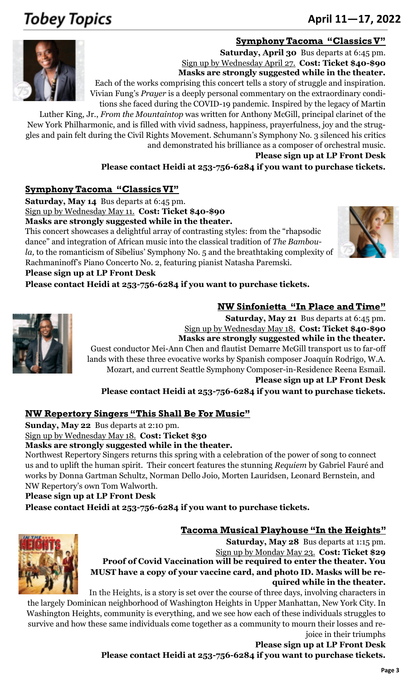## **Tobey Topics**

### June 18-24, 2012 <sup>253</sup>-752-<sup>6621</sup> **April 11—17, 2022**

#### **Symphony Tacoma "Classics V"**



**Saturday, April 30** Bus departs at 6:45 pm. Sign up by Wednesday April 27. **Cost: Ticket \$40-\$90 Masks are strongly suggested while in the theater.** Each of the works comprising this concert tells a story of struggle and inspiration.

Vivian Fung's *Prayer* is a deeply personal commentary on the extraordinary conditions she faced during the COVID-19 pandemic. Inspired by the legacy of Martin

Luther King, Jr., *From the Mountaintop* was written for Anthony McGill, principal clarinet of the New York Philharmonic, and is filled with vivid sadness, happiness, prayerfulness, joy and the struggles and pain felt during the Civil Rights Movement. Schumann's Symphony No. 3 silenced his critics and demonstrated his brilliance as a composer of orchestral music.

**Please sign up at LP Front Desk**

**NW Sinfonietta "In Place and Time"**

**Please contact Heidi at 253-756-6284 if you want to purchase tickets.**

#### **Symphony Tacoma "Classics VI"**

**Saturday, May 14** Bus departs at 6:45 pm.

Sign up by Wednesday May 11. **Cost: Ticket \$40-\$90**

**Masks are strongly suggested while in the theater.**

This concert showcases a delightful array of contrasting styles: from the "rhapsodic dance" and integration of African music into the classical tradition of *The Bamboula,* to the romanticism of Sibelius' Symphony No. 5 and the breathtaking complexity of Rachmaninoff's Piano Concerto No. 2, featuring pianist Natasha Paremski.



#### **Please sign up at LP Front Desk**

**Please contact Heidi at 253-756-6284 if you want to purchase tickets.**



**Saturday, May 21** Bus departs at 6:45 pm. Sign up by Wednesday May 18. **Cost: Ticket \$40-\$90 Masks are strongly suggested while in the theater.** Guest conductor Mei-Ann Chen and flautist Demarre McGill transport us to far-off lands with these three evocative works by Spanish composer Joaquín Rodrigo, W.A. Mozart, and current Seattle Symphony Composer-in-Residence Reena Esmail. **Please sign up at LP Front Desk**

**Please contact Heidi at 253-756-6284 if you want to purchase tickets.**

#### **NW Repertory Singers "This Shall Be For Music"**

**Sunday, May 22** Bus departs at 2:10 pm.

Sign up by Wednesday May 18. **Cost: Ticket \$30**

**Masks are strongly suggested while in the theater.**

Northwest Repertory Singers returns this spring with a celebration of the power of song to connect us and to uplift the human spirit. Their concert features the stunning *Requiem* by Gabriel Fauré and works by Donna Gartman Schultz, Norman Dello Joio, Morten Lauridsen, Leonard Bernstein, and NW Repertory's own Tom Walworth.

#### **Please sign up at LP Front Desk**

**Please contact Heidi at 253-756-6284 if you want to purchase tickets.**

#### **Tacoma Musical Playhouse "In the Heights"**



**Saturday, May 28** Bus departs at 1:15 pm. Sign up by Monday May 23. **Cost: Ticket \$29 Proof of Covid Vaccination will be required to enter the theater. You MUST have a copy of your vaccine card, and photo ID. Masks will be required while in the theater.**

In the Heights, is a story is set over the course of three days, involving characters in

the largely [Dominican n](https://en.wikipedia.org/wiki/Culture_of_the_Dominican_Republic)eighborhood of Washington Heights in Upper Manhattan, New York City. In Washington Heights, community is everything, and we see how each of these individuals struggles to survive and how these same individuals come together as a community to mourn their losses and rejoice in their triumphs

**Please sign up at LP Front Desk Please contact Heidi at 253-756-6284 if you want to purchase tickets.**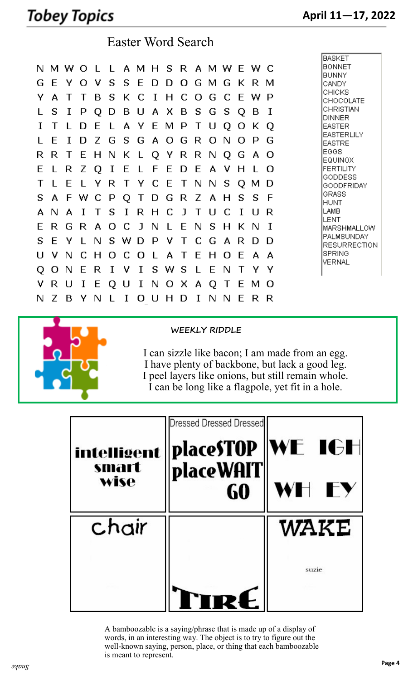### Tobey Topics

Easter Word Search

|    |    |                                   |              |        |          |        |              |              |                 |        |              |       |                   |              |     |     | <b>BASKET</b>                     |
|----|----|-----------------------------------|--------------|--------|----------|--------|--------------|--------------|-----------------|--------|--------------|-------|-------------------|--------------|-----|-----|-----------------------------------|
|    |    | N M W O L L A M H S R A M W E W C |              |        |          |        |              |              |                 |        |              |       |                   |              |     |     | <b>BONNET</b>                     |
|    |    |                                   |              |        |          |        |              |              |                 |        |              |       |                   |              |     |     | <b>BUNNY</b>                      |
| G  | E  | Y                                 | Ω            | -V     | S.       |        |              |              |                 |        |              |       | S E D D O G M G K |              | R.  | м   | CANDY                             |
| Y  | A  |                                   |              | B      | S        |        | K C          | $\mathbf{I}$ | H C O           |        |              | G     | - C               | E            | w   | P   | CHICKS<br>CHOCOLATE               |
|    | S  | I                                 | P            | Q      | D        |        |              |              | B U A X B S G   |        |              |       | S                 | Q            | в   | I   | CHRISTIAN                         |
|    |    | $\mathbf{L}$                      | D            | E      |          |        |              |              | L A Y E M P     |        | T U          |       | Q                 | O            | К   | Q   | DINNER<br>EASTER                  |
|    |    |                                   |              |        |          |        |              |              |                 |        |              |       |                   |              |     |     | EASTERLILY                        |
|    | F  | T.                                | D            |        |          |        |              |              | Z G S G A O G   |        | - R          | . O   | - N               | Ω            | P   | G   | EASTRE                            |
| R  | R  |                                   | E            |        |          |        |              |              | H N K L Q Y R R |        |              | -N    | O.                | G            | A   | Ω   | EGGS<br>EQUINOX                   |
| E  |    | R                                 | Ζ            | Q      | $\bf{I}$ | E      | LFE          |              |                 | D      | - E          | A     | v                 | н            |     | O   | <b>FERTILITY</b>                  |
| т  |    | E                                 |              | Y      | R.       | $\top$ | YCE          |              |                 | T N    |              | N.    | S                 | Q            | м   | Ð   | GODDESS<br><b>GOODFRIDAY</b>      |
| S  | A  | F W                               |              | C.     | P        | Q      | $\top$       |              | D G             | R.     |              | Z A H |                   | S            | S   | F   | GRASS                             |
|    |    |                                   |              |        |          |        |              |              |                 |        |              |       |                   |              |     |     | <b>HUNT</b><br>LAMB               |
| А  | N  | A                                 | $\mathbf{I}$ | $\top$ |          | $S$ I  |              | R H C        |                 | JT     |              | - U   | - C               | $\mathbf{I}$ | - U | R   | LENT                              |
| E  | R. | G R A O C J N                     |              |        |          |        |              |              | LENS            |        |              |       | H K N             |              |     | I   | MARSHMALLOW                       |
| S  | F  | Y                                 | $\mathbf{L}$ | N      |          |        | S W D P      |              | <b>V</b>        | $\top$ | C.           | G     | A                 | R            | D   | D   | PALMSUNDAY<br><b>RESURRECTION</b> |
| U  | v  | N                                 | C.           | H      | Ω        | C.     | 0            | $\perp$      | A T             |        | E            | H     | Ω                 | E            | A   | А   | SPRING                            |
| Q  | О  | N                                 | E            | R      | I        | ٧      | $\mathbf I$  | S            | W S             |        | $\mathsf{L}$ | E     | N                 | T            | Υ   | Υ   | VERNAL                            |
|    |    |                                   |              |        |          |        |              |              |                 |        |              |       |                   |              |     |     |                                   |
| v  | R  | U                                 | I            | E      | Q        | U      | $\mathbf{I}$ |              | N O X A Q       |        |              |       | $\top$            | E            | м   | - O |                                   |
| N. | Ζ  | B                                 | Y            | N      |          | I      | О            | U            | H               | D      | I            | N     | N                 | E            | R.  | R   |                                   |



**WEEKLY RIDDLE**

I can sizzle like bacon; I am made from an egg. I have plenty of backbone, but lack a good leg. I peel layers like onions, but still remain whole. I can be long like a flagpole, yet fit in a hole.

| intelligent<br>smart<br>wise | <b>Dressed Dressed Dressed</b><br>placeSTOP<br>placeWAIT | IWE IGH<br>WH EY |
|------------------------------|----------------------------------------------------------|------------------|
| chair                        |                                                          | WAKE             |
|                              |                                                          | suzie            |

A bamboozable is a saying/phrase that is made up of a display of words, in an interesting way. The object is to try to figure out the well-known saying, person, place, or thing that each bamboozable is meant to represent.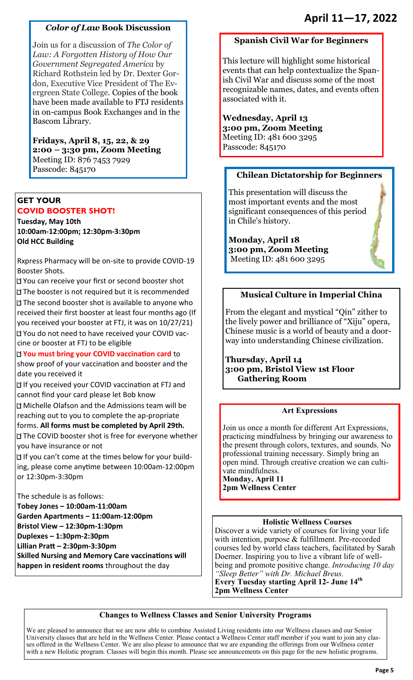#### *Color of Law* **Book Discussion**

Join us for a discussion of *The Color of Law: A Forgotten History of How Our Government Segregated America* by Richard Rothstein led by Dr. Dexter Gordon, Executive Vice President of The Evergreen State College. Copies of the book have been made available to FTJ residents in on-campus Book Exchanges and in the Bascom Library.

**Fridays, April 8, 15, 22, & 29 2:00 – 3:30 pm, Zoom Meeting** Meeting ID: 876 7453 7929 Passcode: 845170

#### **GET YOUR COVID BOOSTER SHOT!**

**Tuesday, May 10th 10:00am-12:00pm; 12:30pm-3:30pm Old HCC Building** 

Rxpress Pharmacy will be on-site to provide COVID-19 Booster Shots.

You can receive your first or second booster shot The booster is not required but it is recommended The second booster shot is available to anyone who received their first booster at least four months ago (If you received your booster at FTJ, it was on 10/27/21) You do not need to have received your COVID vaccine or booster at FTJ to be eligible

**You must bring your COVID vaccination card** to show proof of your vaccination and booster and the date you received it

If you received your COVID vaccination at FTJ and cannot find your card please let Bob know

Michelle Olafson and the Admissions team will be reaching out to you to complete the ap-propriate forms. **All forms must be completed by April 29th.** 

The COVID booster shot is free for everyone whether you have insurance or not

If you can't come at the times below for your building, please come anytime between 10:00am-12:00pm or 12:30pm-3:30pm

The schedule is as follows:

**Tobey Jones – 10:00am-11:00am Garden Apartments – 11:00am-12:00pm Bristol View – 12:30pm-1:30pm Duplexes – 1:30pm-2:30pm Lillian Pratt – 2:30pm-3:30pm Skilled Nursing and Memory Care vaccinations will happen in resident rooms** throughout the day

### **Spanish Civil War for Beginners**

This lecture will highlight some historical events that can help contextualize the Spanish Civil War and discuss some of the most recognizable names, dates, and events often associated with it.

### **Wednesday, April 13**

**3:00 pm, Zoom Meeting** Meeting ID: 481 600 3295 Passcode: 845170

#### **Chilean Dictatorship for Beginners**

This presentation will discuss the most important events and the most significant consequences of this period in Chile's history.

**Monday, April 18 3:00 pm, Zoom Meeting** Meeting ID: 481 600 3295

#### **Musical Culture in Imperial China**

From the elegant and mystical "Qin" zither to the lively power and brilliance of "Xiju" opera, Chinese music is a world of beauty and a doorway into understanding Chinese civilization.

**Thursday, April 14 3:00 pm, Bristol View 1st Floor Gathering Room** 

#### **Art Expressions**

Join us once a month for different Art Expressions, practicing mindfulness by bringing our awareness to the present through colors, textures, and sounds. No professional training necessary. Simply bring an open mind. Through creative creation we can cultivate mindfulness. **Monday, April 11 2pm Wellness Center**

#### **Holistic Wellness Courses**

Discover a wide variety of courses for living your life with intention, purpose & fulfillment. Pre-recorded courses led by world class teachers, facilitated by Sarah Doerner. Inspiring you to live a vibrant life of wellbeing and promote positive change. *Introducing 10 day "Sleep Better" with Dr. Michael Breus.* **Every Tuesday starting April 12- June 14th 2pm Wellness Center**

#### **Changes to Wellness Classes and Senior University Programs**

We are pleased to announce that we are now able to combine Assisted Living residents into our Wellness classes and our Senior University classes that are held in the Wellness Center. Please contact a Wellness Center staff member if you want to join any classes offered in the Wellness Center. We are also please to announce that we are expanding the offerings from our Wellness center with a new Holistic program. Classes will begin this month. Please see announcements on this page for the new holistic programs.